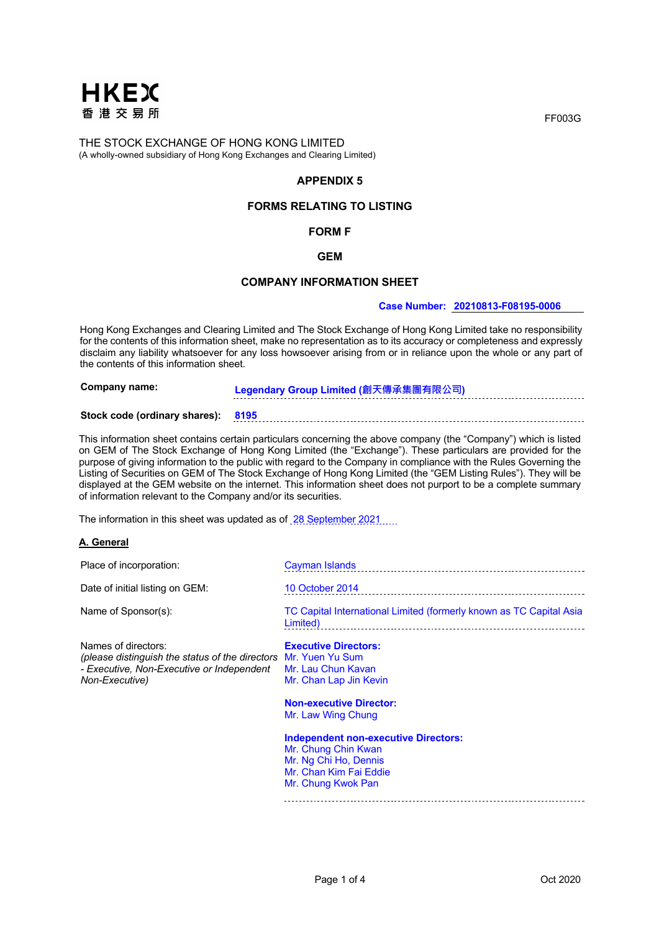

# **APPENDIX 5**

## **FORMS RELATING TO LISTING**

## **FORM F**

## **GEM**

## **COMPANY INFORMATION SHEET**

#### **Case Number: 20210813-F08195-0006**

Hong Kong Exchanges and Clearing Limited and The Stock Exchange of Hong Kong Limited take no responsibility for the contents of this information sheet, make no representation as to its accuracy or completeness and expressly disclaim any liability whatsoever for any loss howsoever arising from or in reliance upon the whole or any part of the contents of this information sheet.

**Company name: Legendary Group Limited (創天傳承集團有限公司)**

# **Stock code (ordinary shares): 8195**

This information sheet contains certain particulars concerning the above company (the "Company") which is listed on GEM of The Stock Exchange of Hong Kong Limited (the "Exchange"). These particulars are provided for the purpose of giving information to the public with regard to the Company in compliance with the Rules Governing the Listing of Securities on GEM of The Stock Exchange of Hong Kong Limited (the "GEM Listing Rules"). They will be displayed at the GEM website on the internet. This information sheet does not purport to be a complete summary of information relevant to the Company and/or its securities.

The information in this sheet was updated as of 28 September 2021

#### **A. General**

| Place of incorporation:                                                                                                                               | Cayman Islands                                                                                                        |
|-------------------------------------------------------------------------------------------------------------------------------------------------------|-----------------------------------------------------------------------------------------------------------------------|
| Date of initial listing on GEM:                                                                                                                       | 10 October 2014                                                                                                       |
| Name of Sponsor(s):                                                                                                                                   | TC Capital International Limited (formerly known as TC Capital Asia<br>Limited)                                       |
| Names of directors:<br>(please distinguish the status of the directors Mr. Yuen Yu Sum<br>- Executive, Non-Executive or Independent<br>Non-Executive) | <b>Executive Directors:</b><br>Mr. Lau Chun Kavan<br>Mr. Chan Lap Jin Kevin                                           |
|                                                                                                                                                       | <b>Non-executive Director:</b><br>Mr. Law Wing Chung                                                                  |
|                                                                                                                                                       | <b>Independent non-executive Directors:</b><br>Mr. Chung Chin Kwan<br>Mr. Ng Chi Ho, Dennis<br>Mr. Chan Kim Fai Eddie |

Mr. Chung Kwok Pan

FF003G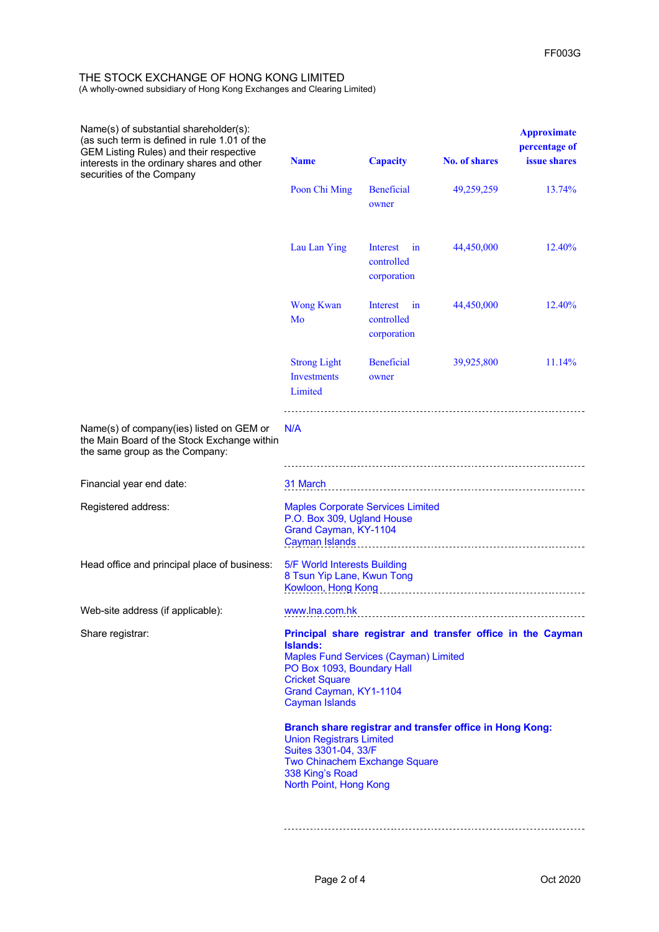| Name(s) of substantial shareholder(s):<br>(as such term is defined in rule 1.01 of the<br><b>GEM Listing Rules) and their respective</b><br>interests in the ordinary shares and other<br>securities of the Company | <b>Name</b>                                                                                                                                                                                                                              | <b>Capacity</b>                             | <b>No. of shares</b> | <b>Approximate</b><br>percentage of<br><i>issue</i> shares |
|---------------------------------------------------------------------------------------------------------------------------------------------------------------------------------------------------------------------|------------------------------------------------------------------------------------------------------------------------------------------------------------------------------------------------------------------------------------------|---------------------------------------------|----------------------|------------------------------------------------------------|
|                                                                                                                                                                                                                     | Poon Chi Ming                                                                                                                                                                                                                            | <b>Beneficial</b><br>owner                  | 49,259,259           | 13.74%                                                     |
|                                                                                                                                                                                                                     | Lau Lan Ying                                                                                                                                                                                                                             | Interest<br>in<br>controlled<br>corporation | 44,450,000           | 12.40%                                                     |
|                                                                                                                                                                                                                     | <b>Wong Kwan</b><br>Mo                                                                                                                                                                                                                   | Interest<br>in<br>controlled<br>corporation | 44,450,000           | 12.40%                                                     |
|                                                                                                                                                                                                                     | <b>Strong Light</b><br><b>Investments</b><br>Limited                                                                                                                                                                                     | <b>Beneficial</b><br>owner                  | 39,925,800           | 11.14%                                                     |
| Name(s) of company(ies) listed on GEM or<br>the Main Board of the Stock Exchange within<br>the same group as the Company:                                                                                           | N/A                                                                                                                                                                                                                                      |                                             |                      |                                                            |
| Financial year end date:                                                                                                                                                                                            | 31 March                                                                                                                                                                                                                                 |                                             |                      |                                                            |
| Registered address:                                                                                                                                                                                                 | <b>Maples Corporate Services Limited</b><br>P.O. Box 309, Ugland House<br>Grand Cayman, KY-1104<br><b>Cayman Islands</b>                                                                                                                 |                                             |                      |                                                            |
| Head office and principal place of business:                                                                                                                                                                        | 5/F World Interests Building<br>8 Tsun Yip Lane, Kwun Tong<br>Kowloon, Hong Kong                                                                                                                                                         |                                             |                      |                                                            |
| Web-site address (if applicable):                                                                                                                                                                                   | www.lna.com.hk                                                                                                                                                                                                                           |                                             |                      |                                                            |
| Share registrar:                                                                                                                                                                                                    | Principal share registrar and transfer office in the Cayman<br><b>Islands:</b><br><b>Maples Fund Services (Cayman) Limited</b><br>PO Box 1093, Boundary Hall<br><b>Cricket Square</b><br>Grand Cayman, KY1-1104<br><b>Cayman Islands</b> |                                             |                      |                                                            |
|                                                                                                                                                                                                                     | Branch share registrar and transfer office in Hong Kong:<br><b>Union Registrars Limited</b><br>Suites 3301-04, 33/F<br>Two Chinachem Exchange Square<br>338 King's Road<br>North Point, Hong Kong                                        |                                             |                      |                                                            |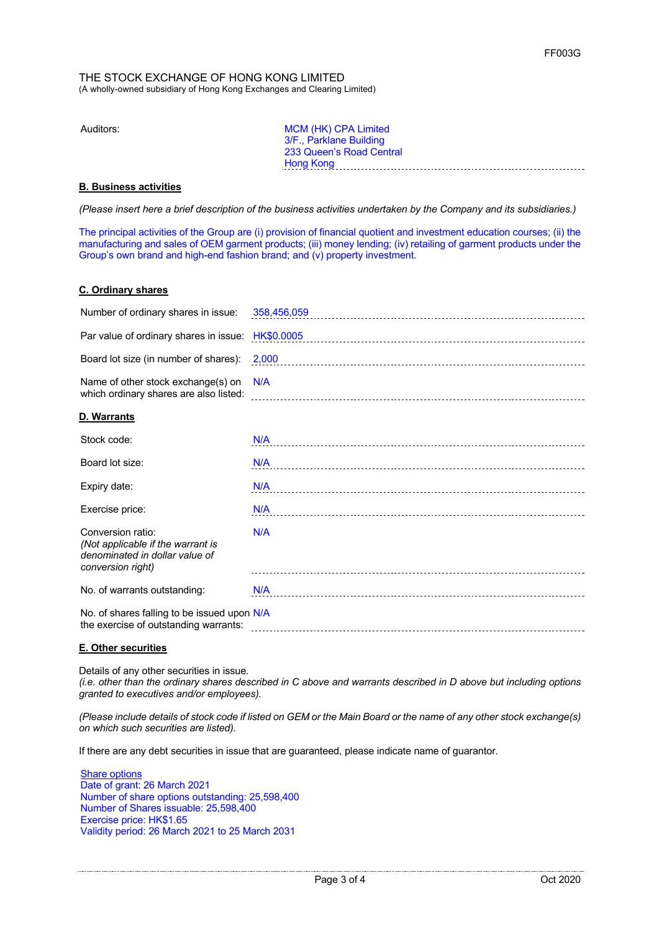Auditors: MCM (HK) CPA Limited 3/F., Parklane Building 233 Queen's Road Central Hong Kong

# **B. Business activities**

*(Please insert here a brief description of the business activities undertaken by the Company and its subsidiaries.)*

The principal activities of the Group are (i) provision of financial quotient and investment education courses; (ii) the manufacturing and sales of OEM garment products; (iii) money lending; (iv) retailing of garment products under the Group's own brand and high-end fashion brand; and (v) property investment.

## **C. Ordinary shares**

| Number of ordinary shares in issue:                                                                           | 358,456,059 |
|---------------------------------------------------------------------------------------------------------------|-------------|
| Par value of ordinary shares in issue:                                                                        | HK\$0.0005  |
| Board lot size (in number of shares):                                                                         | 2,000       |
| Name of other stock exchange(s) on<br>which ordinary shares are also listed:                                  | N/A         |
| D. Warrants                                                                                                   |             |
| Stock code:                                                                                                   | N/A         |
| Board lot size:                                                                                               | N/A         |
| Expiry date:                                                                                                  | N/A         |
| Exercise price:                                                                                               | N/A         |
| Conversion ratio:<br>(Not applicable if the warrant is<br>denominated in dollar value of<br>conversion right) | N/A         |
| No. of warrants outstanding:                                                                                  | N/A         |
| No. of shares falling to be issued upon N/A<br>the exercise of outstanding warrants:                          |             |

## **E. Other securities**

Details of any other securities in issue.

*(i.e. other than the ordinary shares described in C above and warrants described in D above but including options granted to executives and/or employees).*

*(Please include details of stock code if listed on GEM or the Main Board or the name of any other stock exchange(s) on which such securities are listed).*

If there are any debt securities in issue that are guaranteed, please indicate name of guarantor.

Share options Date of grant: 26 March 2021 Number of share options outstanding: 25,598,400 Number of Shares issuable: 25,598,400 Exercise price: HK\$1.65 Validity period: 26 March 2021 to 25 March 2031